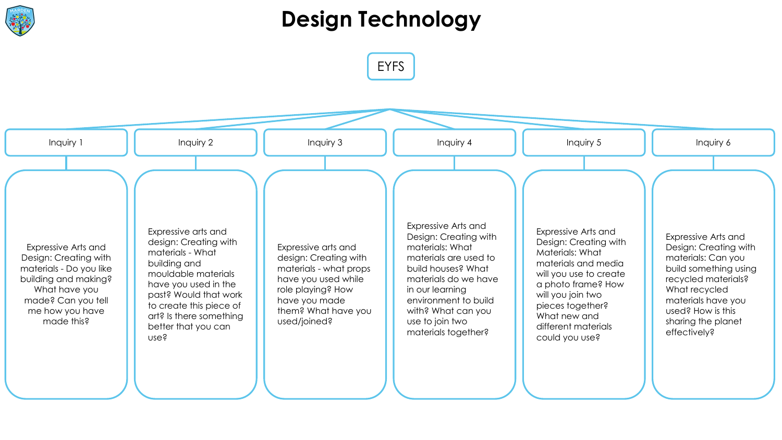

#### **Design Technology**

EYFS

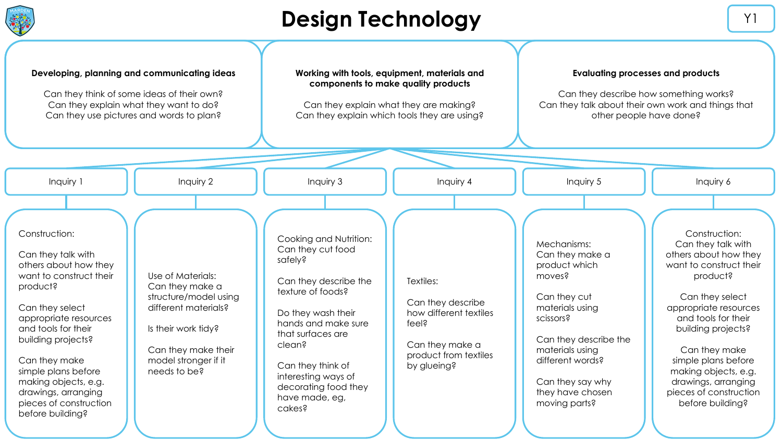

#### **Design Technology Y1**

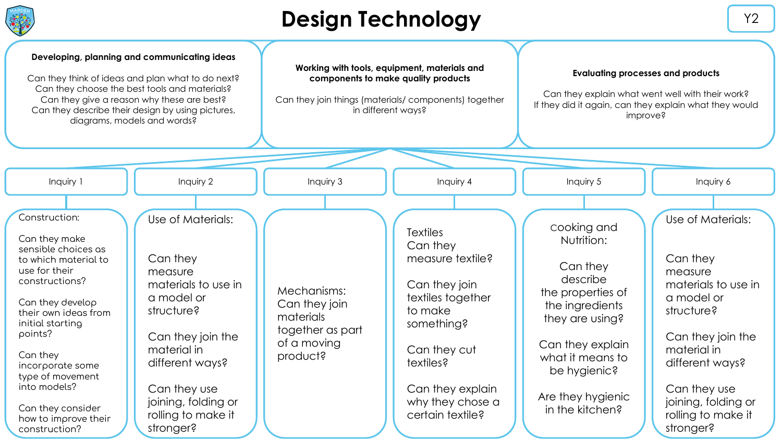

## **Design Technology Y2**

| $\blacktriangledown$                                                                                                                                                                                                                                                                                                          |                                                                                                                                                                                                                              |                                                                                                                                                                   |                                                                                                                                                                                                         |                                                                                                                                                                                                              |                                                                                                                                                                                                                              |
|-------------------------------------------------------------------------------------------------------------------------------------------------------------------------------------------------------------------------------------------------------------------------------------------------------------------------------|------------------------------------------------------------------------------------------------------------------------------------------------------------------------------------------------------------------------------|-------------------------------------------------------------------------------------------------------------------------------------------------------------------|---------------------------------------------------------------------------------------------------------------------------------------------------------------------------------------------------------|--------------------------------------------------------------------------------------------------------------------------------------------------------------------------------------------------------------|------------------------------------------------------------------------------------------------------------------------------------------------------------------------------------------------------------------------------|
| Developing, planning and communicating ideas<br>Can they think of ideas and plan what to do next?<br>Can they choose the best tools and materials?<br>Can they give a reason why these are best?<br>Can they describe their design by using pictures,<br>diagrams, models and words?                                          |                                                                                                                                                                                                                              | Working with tools, equipment, materials and<br>components to make quality products<br>Can they join things (materials/components) together<br>in different ways? |                                                                                                                                                                                                         | <b>Evaluating processes and products</b><br>Can they explain what went well with their work?<br>If they did it again, can they explain what they would<br>improve?                                           |                                                                                                                                                                                                                              |
|                                                                                                                                                                                                                                                                                                                               |                                                                                                                                                                                                                              |                                                                                                                                                                   |                                                                                                                                                                                                         |                                                                                                                                                                                                              |                                                                                                                                                                                                                              |
| Inquiry 1                                                                                                                                                                                                                                                                                                                     | Inquiry 2                                                                                                                                                                                                                    | Inquiry 3                                                                                                                                                         | Inquiry 4                                                                                                                                                                                               | Inquiry 5                                                                                                                                                                                                    | Inquiry 6                                                                                                                                                                                                                    |
| Construction:<br>Can they make<br>sensible choices as<br>to which moterial to<br>use for their<br>constructions?<br>Can they develop<br>their own ideas from<br>initial starting<br>points?<br>Can they<br>incorporate some<br>type of movement<br>into models?<br>Can they consider<br>how to improve their<br>construction? | Use of Materials:<br>Can they<br>measure<br>materials to use in<br>a model or<br>structure?<br>Can they join the<br>material in<br>different ways?<br>Can they use<br>joining, folding or<br>rolling to make it<br>stronger? | Mechanisms:<br>Can they join<br>materials<br>together as part<br>of a moving<br>product?                                                                          | <b>Textiles</b><br>Can they<br>measure textile?<br>Can they join<br>textiles together<br>to make<br>something?<br>Can they cut<br>textiles?<br>Can they explain<br>why they chose a<br>certain textile? | cooking and<br>Nutrition:<br>Can they<br>describe<br>the properties of<br>the ingredients<br>they are using?<br>Can they explain<br>what it means to<br>be hygienic?<br>Are they hygienic<br>in the kitchen? | Use of Materials:<br>Can they<br>measure<br>materials to use in<br>a model or<br>structure?<br>Can they join the<br>material in<br>different ways?<br>Can they use<br>joining, folding or<br>rolling to make it<br>stronger? |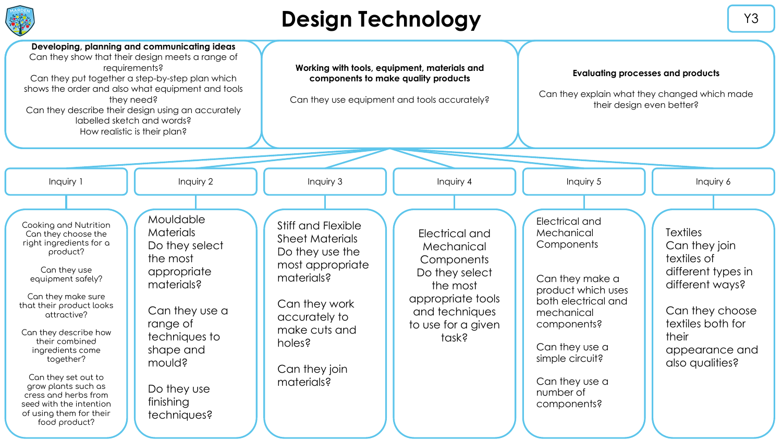

## **Design Technology V3**

| Developing, planning and communicating ideas<br>Can they show that their design meets a range of<br>requirements?<br>Can they put together a step-by-step plan which<br>shows the order and also what equipment and tools<br>they need?<br>Can they describe their design using an accurately<br>labelled sketch and words?<br>How realistic is their plan?                                                                                                                                                                                                                                                                     | Working with tools, equipment, materials and<br>components to make quality products<br>Can they use equipment and tools accurately?                                                           |                                                                                                                                                | <b>Evaluating processes and products</b><br>Can they explain what they changed which made<br>their design even better?                                                                                                     |                                                                                                                                                                                |
|---------------------------------------------------------------------------------------------------------------------------------------------------------------------------------------------------------------------------------------------------------------------------------------------------------------------------------------------------------------------------------------------------------------------------------------------------------------------------------------------------------------------------------------------------------------------------------------------------------------------------------|-----------------------------------------------------------------------------------------------------------------------------------------------------------------------------------------------|------------------------------------------------------------------------------------------------------------------------------------------------|----------------------------------------------------------------------------------------------------------------------------------------------------------------------------------------------------------------------------|--------------------------------------------------------------------------------------------------------------------------------------------------------------------------------|
|                                                                                                                                                                                                                                                                                                                                                                                                                                                                                                                                                                                                                                 |                                                                                                                                                                                               |                                                                                                                                                |                                                                                                                                                                                                                            |                                                                                                                                                                                |
| Inquiry 2<br>Inquiry 1                                                                                                                                                                                                                                                                                                                                                                                                                                                                                                                                                                                                          | Inquiry 3                                                                                                                                                                                     | Inquiry 4                                                                                                                                      | Inquiry 5                                                                                                                                                                                                                  | Inquiry 6                                                                                                                                                                      |
| Mouldable<br>Cooking and Nutrition<br><b>Materials</b><br>Can they choose the<br>right ingredients for a<br>Do they select<br>product?<br>the most<br>Can they use<br>appropriate<br>equipment safely?<br>materials?<br>Can they make sure<br>that their product looks<br>Can they use a<br>attractive?<br>range of<br>Can they describe how<br>techniques to<br>their combined<br>shape and<br>ingredients come<br>together?<br>mould?<br>Can they set out to<br>grow plants such as<br>Do they use<br>cress and herbs from<br>finishing<br>seed with the intention<br>of using them for their<br>techniques?<br>food product? | Stiff and Flexible<br><b>Sheet Materials</b><br>Do they use the<br>most appropriate<br>materials?<br>Can they work<br>accurately to<br>make cuts and<br>holes?<br>Can they join<br>materials? | Electrical and<br>Mechanical<br>Components<br>Do they select<br>the most<br>appropriate tools<br>and techniques<br>to use for a given<br>task? | Electrical and<br>Mechanical<br>Components<br>Can they make a<br>product which uses<br>both electrical and<br>mechanical<br>components?<br>Can they use a<br>simple circuit?<br>Can they use a<br>number of<br>components? | <b>Textiles</b><br>Can they join<br>textiles of<br>different types in<br>different ways?<br>Can they choose<br>textiles both for<br>their<br>appearance and<br>also qualities? |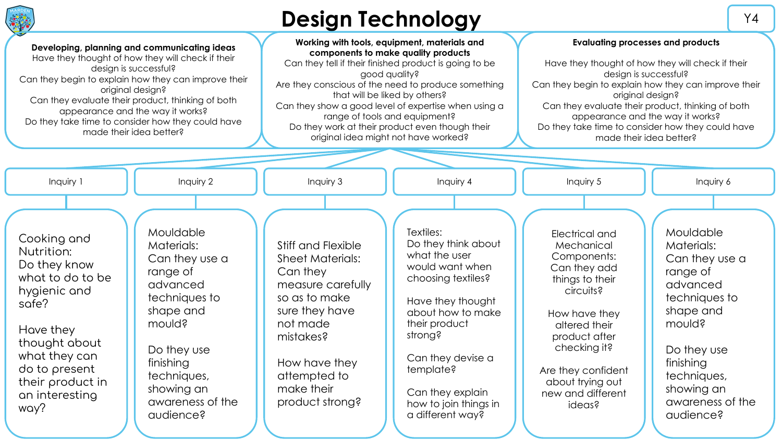

# **Design Technology** Manual Manual Manual Manual Manual Manual Manual Manual Manual Manual Manual Manual Manual Manual Manual Manual Manual Manual Manual Manual Manual Manual Manual Manual Manual Manual Manual Manual Manual

Cooking and Nutrition: Do they know what to do to be hygienic and sofe? Have they thought about what they can do to present their product in an interesting way? Mouldable Materials: Can they use a range of advanced techniques to shape and mould? Do they use finishing techniques, showing an awareness of the audience? Stiff and Flexible Sheet Materials: Can they measure carefully so as to make sure they have not made mistakes? How have they attempted to make their product strong? Textiles: Do they think about what the user would want when choosing textiles? Have they thought about how to make their product strong? Can they devise a template? Can they explain how to join things in a different way? Electrical and Mechanical Components: Can they add things to their circuits? How have they altered their product after checking it? Are they confident about trying out new and different ideas? Mouldable Materials: Can they use a range of advanced techniques to shape and mould? Do they use finishing techniques, showing an awareness of the audience? Inquiry 1 | | Inquiry 2 | | Inquiry 3 | | Inquiry 4 | | Inquiry 5 | | Inquiry 6 **Evaluating processes and products** Have they thought of how they will check if their desian is successful? Can they begin to explain how they can improve their original design? Can they evaluate their product, thinking of both appearance and the way it works? Do they take time to consider how they could have made their idea better? **Working with tools, equipment, materials and components to make quality products** Can they tell if their finished product is going to be good quality? Are they conscious of the need to produce something that will be liked by others? Can they show a good level of expertise when using a range of tools and equipment? Do they work at their product even though their original idea might not have worked? **Developing, planning and communicating ideas** Have they thought of how they will check if their design is successful? Can they begin to explain how they can improve their original design? Can they evaluate their product, thinking of both appearance and the way it works? Do they take time to consider how they could have made their idea better?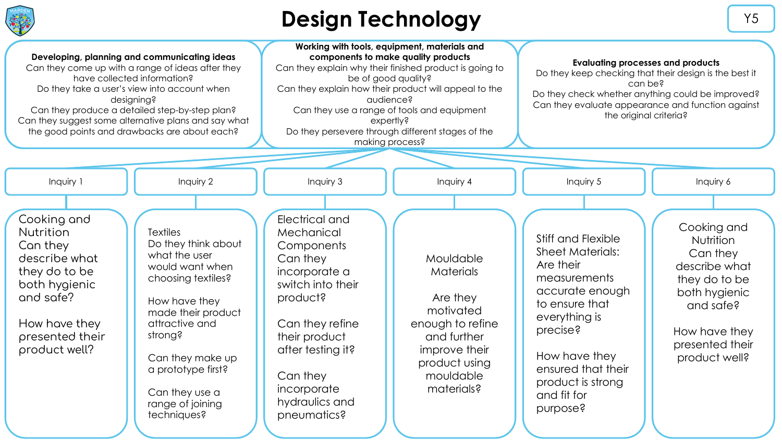

## **Design Technology** New Y5

Cooking and **Nutrition** Can they describe what they do to be both hygienic and safe? How have they presented their product well? **Textiles** Do they think about what the user would want when choosing textiles? How have they made their product attractive and strong? Can they make up a prototype first? Can they use a range of joining techniques? Electrical and Mechanical **Components** Can they incorporate a switch into their product? Can they refine their product after testing it? Can they incorporate hydraulics and pneumatics? Mouldable Materials Are they motivated enough to refine and further improve their product using mouldable materials? Stiff and Flexible Sheet Materials: Are their measurements accurate enough to ensure that everything is precise? How have they ensured that their product is strong and fit for purpose? Cooking and Nutrition Can they describe what they do to be both hygienic and safe? How have they presented their product well? Inquiry 1 | | Inquiry 2 | | Inquiry 3 | | Inquiry 4 | | Inquiry 5 | | Inquiry 6 **Evaluating processes and products** Do they keep checking that their design is the best it can be? Do they check whether anything could be improved? Can they evaluate appearance and function against the original criteria? **Working with tools, equipment, materials and components to make quality products** Can they explain why their finished product is going to be of good quality? Can they explain how their product will appeal to the audience? Can they use a range of tools and equipment expertly? Do they persevere through different stages of the making process? **Developing, planning and communicating ideas** Can they come up with a range of ideas after they have collected information? Do they take a user's view into account when desianing? Can they produce a detailed step-by-step plan? Can they suggest some alternative plans and say what the good points and drawbacks are about each?